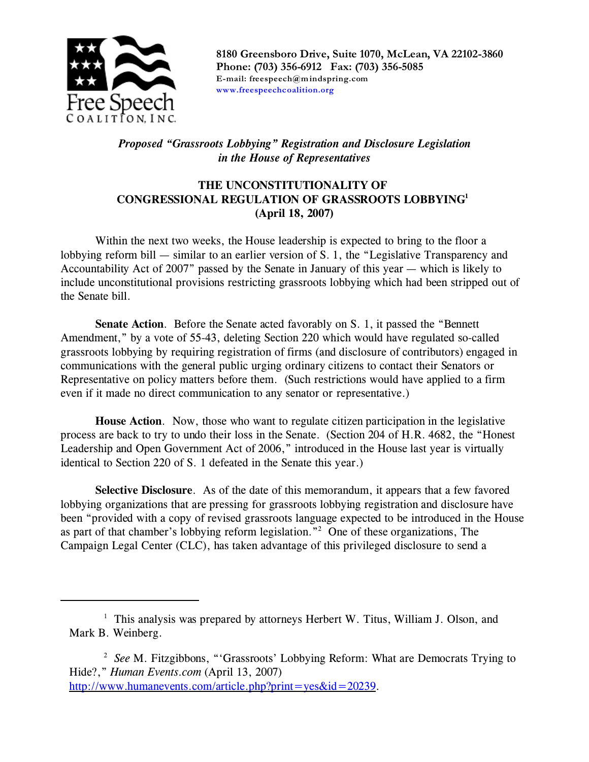

**8180 Greensboro Drive, Suite 1070, McLean, VA 22102-3860 Phone: (703) 356-6912 Fax: (703) 356-5085 E-mail: freespeech@mindspring.com [www.freespeechcoalition.org](http://www.freespeechcoalition.org)**

# *Proposed "Grassroots Lobbying" Registration and Disclosure Legislation in the House of Representatives*

# **THE UNCONSTITUTIONALITY OF CONGRESSIONAL REGULATION OF GRASSROOTS LOBBYING<sup>1</sup> (April 18, 2007)**

Within the next two weeks, the House leadership is expected to bring to the floor a lobbying reform bill — similar to an earlier version of S. 1, the "Legislative Transparency and Accountability Act of 2007" passed by the Senate in January of this year — which is likely to include unconstitutional provisions restricting grassroots lobbying which had been stripped out of the Senate bill.

**Senate Action**. Before the Senate acted favorably on S. 1, it passed the "Bennett Amendment," by a vote of 55-43, deleting Section 220 which would have regulated so-called grassroots lobbying by requiring registration of firms (and disclosure of contributors) engaged in communications with the general public urging ordinary citizens to contact their Senators or Representative on policy matters before them. (Such restrictions would have applied to a firm even if it made no direct communication to any senator or representative.)

**House Action**. Now, those who want to regulate citizen participation in the legislative process are back to try to undo their loss in the Senate. (Section 204 of H.R. 4682, the "Honest Leadership and Open Government Act of 2006," introduced in the House last year is virtually identical to Section 220 of S. 1 defeated in the Senate this year.)

**Selective Disclosure**. As of the date of this memorandum, it appears that a few favored lobbying organizations that are pressing for grassroots lobbying registration and disclosure have been "provided with a copy of revised grassroots language expected to be introduced in the House as part of that chamber's lobbying reform legislation."<sup>2</sup> One of these organizations, The Campaign Legal Center (CLC), has taken advantage of this privileged disclosure to send a

<sup>&</sup>lt;sup>1</sup> This analysis was prepared by attorneys Herbert W. Titus, William J. Olson, and Mark B. Weinberg.

<sup>&</sup>lt;sup>2</sup> See M. Fitzgibbons, "'Grassroots' Lobbying Reform: What are Democrats Trying to Hide?," *Human Events.com* (April 13, 2007) <http://www.humanevents.com/article.php?print=yes&id=20239>.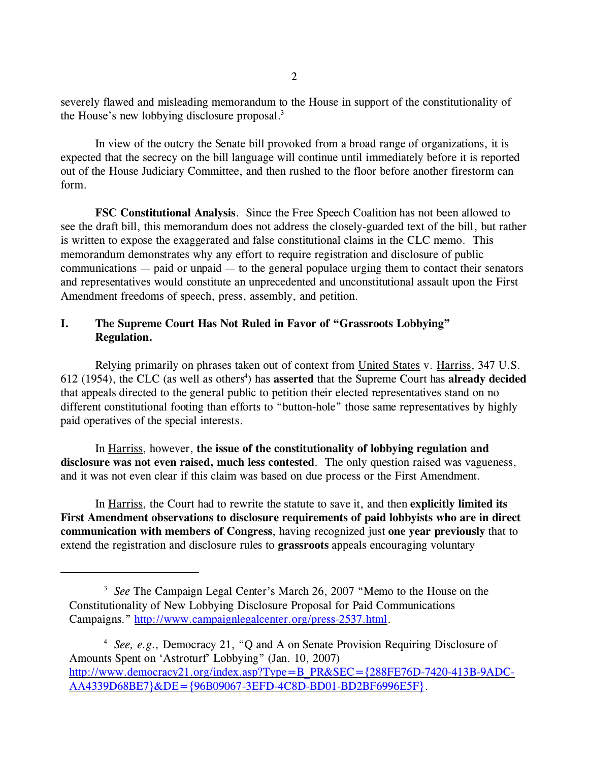severely flawed and misleading memorandum to the House in support of the constitutionality of the House's new lobbying disclosure proposal.<sup>3</sup>

In view of the outcry the Senate bill provoked from a broad range of organizations, it is expected that the secrecy on the bill language will continue until immediately before it is reported out of the House Judiciary Committee, and then rushed to the floor before another firestorm can form.

**FSC Constitutional Analysis**. Since the Free Speech Coalition has not been allowed to see the draft bill, this memorandum does not address the closely-guarded text of the bill, but rather is written to expose the exaggerated and false constitutional claims in the CLC memo. This memorandum demonstrates why any effort to require registration and disclosure of public communications — paid or unpaid — to the general populace urging them to contact their senators and representatives would constitute an unprecedented and unconstitutional assault upon the First Amendment freedoms of speech, press, assembly, and petition.

## **I. The Supreme Court Has Not Ruled in Favor of "Grassroots Lobbying" Regulation.**

Relying primarily on phrases taken out of context from United States v. Harriss, 347 U.S. 612 (1954), the CLC (as well as others<sup>4</sup>) has asserted that the Supreme Court has already decided that appeals directed to the general public to petition their elected representatives stand on no different constitutional footing than efforts to "button-hole" those same representatives by highly paid operatives of the special interests.

In Harriss, however, **the issue of the constitutionality of lobbying regulation and disclosure was not even raised, much less contested**. The only question raised was vagueness, and it was not even clear if this claim was based on due process or the First Amendment.

In Harriss, the Court had to rewrite the statute to save it, and then **explicitly limited its First Amendment observations to disclosure requirements of paid lobbyists who are in direct communication with members of Congress**, having recognized just **one year previously** that to extend the registration and disclosure rules to **grassroots** appeals encouraging voluntary

<sup>4</sup> See, e.g., Democracy 21, "Q and A on Senate Provision Requiring Disclosure of Amounts Spent on 'Astroturf' Lobbying" (Jan. 10, 2007) [http://www.democracy21.org/index.asp?Type=B\\_PR&SEC={288FE76D-7420-413B-9ADC-](http://www.democracy21.org/index.asp?Type=B_PR&SEC={288FE76D-7420-413B-9ADC-AA4339D68BE7}&DE={96B09067-3EFD-4C8D-BD01-BD2BF6996E5F})[AA4339D68BE7}&DE={96B09067-3EFD-4C8D-BD01-BD2BF6996E5F}](http://www.democracy21.org/index.asp?Type=B_PR&SEC={288FE76D-7420-413B-9ADC-AA4339D68BE7}&DE={96B09067-3EFD-4C8D-BD01-BD2BF6996E5F}).

 $2<sup>2</sup>$ 

<sup>&</sup>lt;sup>3</sup> See The Campaign Legal Center's March 26, 2007 "Memo to the House on the Constitutionality of New Lobbying Disclosure Proposal for Paid Communications Campaigns." [http://www.campaignlegalcenter.org/press-2537.html](http://www.campaignlegalcenter.org/press-2342.html).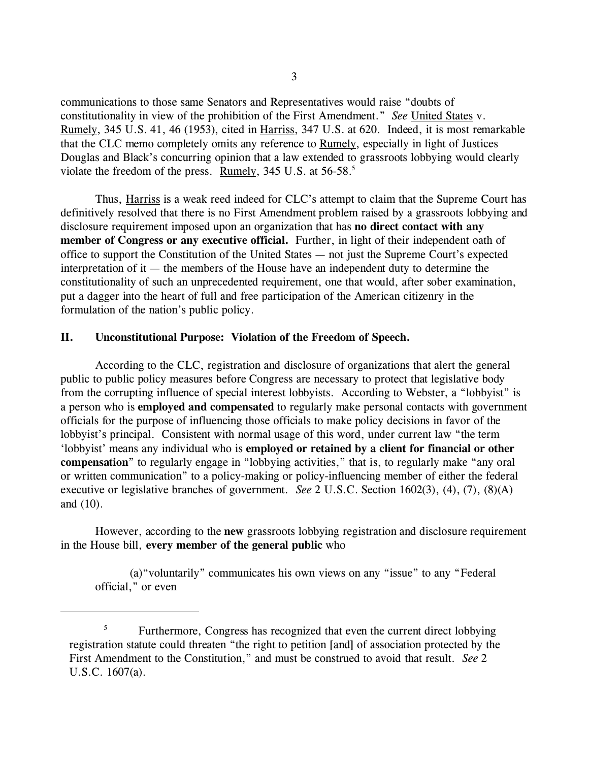communications to those same Senators and Representatives would raise "doubts of constitutionality in view of the prohibition of the First Amendment." *See* United States v. Rumely, 345 U.S. 41, 46 (1953), cited in Harriss, 347 U.S. at 620. Indeed, it is most remarkable that the CLC memo completely omits any reference to Rumely, especially in light of Justices Douglas and Black's concurring opinion that a law extended to grassroots lobbying would clearly violate the freedom of the press. Rumely, 345 U.S. at  $56-58$ .<sup>5</sup>

Thus, Harriss is a weak reed indeed for CLC's attempt to claim that the Supreme Court has definitively resolved that there is no First Amendment problem raised by a grassroots lobbying and disclosure requirement imposed upon an organization that has **no direct contact with any member of Congress or any executive official.** Further, in light of their independent oath of office to support the Constitution of the United States — not just the Supreme Court's expected interpretation of it — the members of the House have an independent duty to determine the constitutionality of such an unprecedented requirement, one that would, after sober examination, put a dagger into the heart of full and free participation of the American citizenry in the formulation of the nation's public policy.

### **II. Unconstitutional Purpose: Violation of the Freedom of Speech.**

According to the CLC, registration and disclosure of organizations that alert the general public to public policy measures before Congress are necessary to protect that legislative body from the corrupting influence of special interest lobbyists. According to Webster, a "lobbyist" is a person who is **employed and compensated** to regularly make personal contacts with government officials for the purpose of influencing those officials to make policy decisions in favor of the lobbyist's principal. Consistent with normal usage of this word, under current law "the term 'lobbyist' means any individual who is **employed or retained by a client for financial or other compensation**" to regularly engage in "lobbying activities," that is, to regularly make "any oral or written communication" to a policy-making or policy-influencing member of either the federal executive or legislative branches of government. *See* 2 U.S.C. Section 1602(3), (4), (7), (8)(A) and (10).

However, according to the **new** grassroots lobbying registration and disclosure requirement in the House bill, **every member of the general public** who

(a)"voluntarily" communicates his own views on any "issue" to any "Federal official," or even

<sup>&</sup>lt;sup>5</sup> Furthermore, Congress has recognized that even the current direct lobbying registration statute could threaten "the right to petition [and] of association protected by the First Amendment to the Constitution," and must be construed to avoid that result. *See* 2 U.S.C. 1607(a).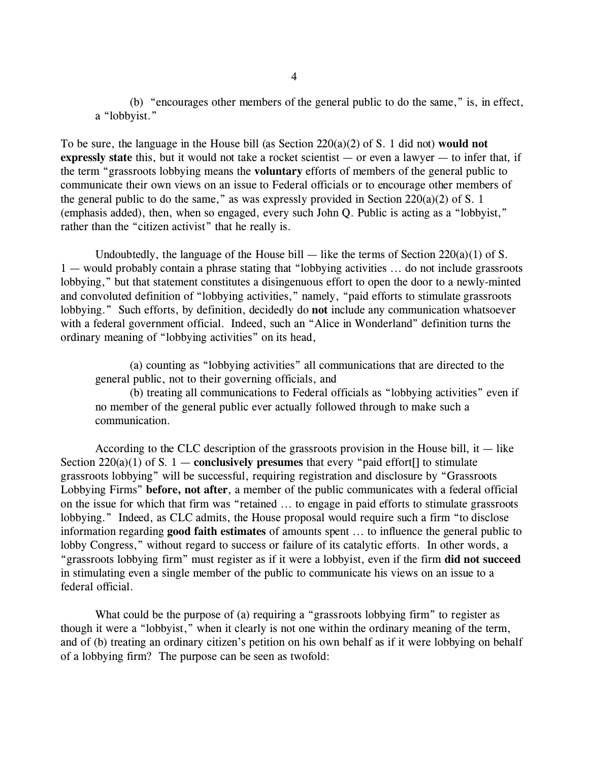(b) "encourages other members of the general public to do the same," is, in effect, a "lobbyist."

To be sure, the language in the House bill (as Section 220(a)(2) of S. 1 did not) **would not expressly state** this, but it would not take a rocket scientist — or even a lawyer — to infer that, if the term "grassroots lobbying means the **voluntary** efforts of members of the general public to communicate their own views on an issue to Federal officials or to encourage other members of the general public to do the same," as was expressly provided in Section  $220(a)(2)$  of S. 1 (emphasis added), then, when so engaged, every such John Q. Public is acting as a "lobbyist," rather than the "citizen activist" that he really is.

Undoubtedly, the language of the House bill — like the terms of Section  $220(a)(1)$  of S. 1 — would probably contain a phrase stating that "lobbying activities ... do not include grassroots lobbying," but that statement constitutes a disingenuous effort to open the door to a newly-minted and convoluted definition of "lobbying activities," namely, "paid efforts to stimulate grassroots lobbying." Such efforts, by definition, decidedly do **not** include any communication whatsoever with a federal government official. Indeed, such an "Alice in Wonderland" definition turns the ordinary meaning of "lobbying activities" on its head,

(a) counting as "lobbying activities" all communications that are directed to the general public, not to their governing officials, and

(b) treating all communications to Federal officials as "lobbying activities" even if no member of the general public ever actually followed through to make such a communication.

According to the CLC description of the grassroots provision in the House bill, it  $-$  like Section  $220(a)(1)$  of S. 1 — **conclusively presumes** that every "paid effort[] to stimulate grassroots lobbying" will be successful, requiring registration and disclosure by "Grassroots Lobbying Firms" **before, not after**, a member of the public communicates with a federal official on the issue for which that firm was "retained ... to engage in paid efforts to stimulate grassroots lobbying." Indeed, as CLC admits, the House proposal would require such a firm "to disclose information regarding **good faith estimates** of amounts spent ... to influence the general public to lobby Congress," without regard to success or failure of its catalytic efforts. In other words, a "grassroots lobbying firm" must register as if it were a lobbyist, even if the firm **did not succeed** in stimulating even a single member of the public to communicate his views on an issue to a federal official.

What could be the purpose of (a) requiring a "grassroots lobbying firm" to register as though it were a "lobbyist," when it clearly is not one within the ordinary meaning of the term, and of (b) treating an ordinary citizen's petition on his own behalf as if it were lobbying on behalf of a lobbying firm? The purpose can be seen as twofold: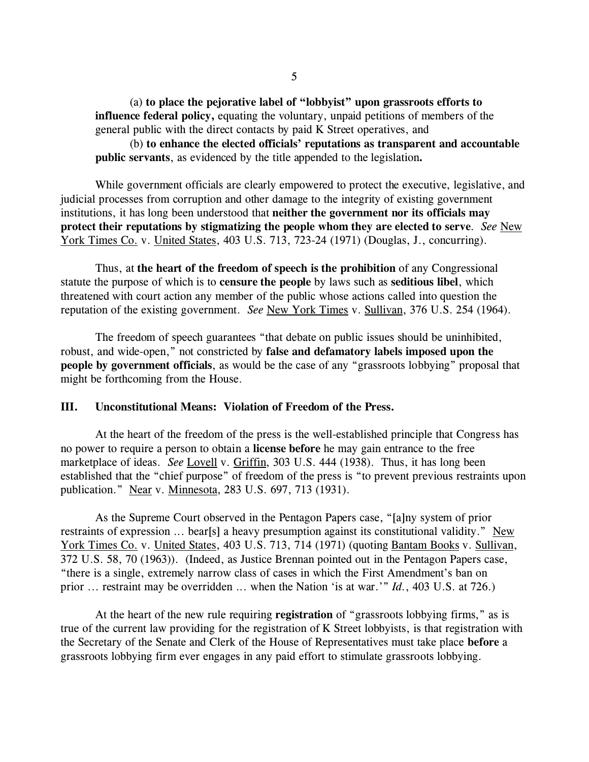(a) **to place the pejorative label of "lobbyist" upon grassroots efforts to influence federal policy,** equating the voluntary, unpaid petitions of members of the general public with the direct contacts by paid K Street operatives, and

(b) **to enhance the elected officials' reputations as transparent and accountable public servants**, as evidenced by the title appended to the legislation**.** 

While government officials are clearly empowered to protect the executive, legislative, and judicial processes from corruption and other damage to the integrity of existing government institutions, it has long been understood that **neither the government nor its officials may protect their reputations by stigmatizing the people whom they are elected to serve**. *See* New York Times Co. v. United States, 403 U.S. 713, 723-24 (1971) (Douglas, J., concurring).

Thus, at **the heart of the freedom of speech is the prohibition** of any Congressional statute the purpose of which is to **censure the people** by laws such as **seditious libel**, which threatened with court action any member of the public whose actions called into question the reputation of the existing government. *See* New York Times v. Sullivan, 376 U.S. 254 (1964).

The freedom of speech guarantees "that debate on public issues should be uninhibited, robust, and wide-open," not constricted by **false and defamatory labels imposed upon the people by government officials**, as would be the case of any "grassroots lobbying" proposal that might be forthcoming from the House.

### **III. Unconstitutional Means: Violation of Freedom of the Press.**

At the heart of the freedom of the press is the well-established principle that Congress has no power to require a person to obtain a **license before** he may gain entrance to the free marketplace of ideas. *See* Lovell v. Griffin, 303 U.S. 444 (1938). Thus, it has long been established that the "chief purpose" of freedom of the press is "to prevent previous restraints upon publication." Near v. Minnesota, 283 U.S. 697, 713 (1931).

As the Supreme Court observed in the Pentagon Papers case, "[a]ny system of prior restraints of expression ... bear[s] a heavy presumption against its constitutional validity." New York Times Co. v. United States, 403 U.S. 713, 714 (1971) (quoting Bantam Books v. Sullivan, 372 U.S. 58, 70 (1963)). (Indeed, as Justice Brennan pointed out in the Pentagon Papers case, "there is a single, extremely narrow class of cases in which the First Amendment's ban on prior ... restraint may be overridden ... when the Nation 'is at war.'" *Id.*, 403 U.S. at 726.)

At the heart of the new rule requiring **registration** of "grassroots lobbying firms," as is true of the current law providing for the registration of K Street lobbyists, is that registration with the Secretary of the Senate and Clerk of the House of Representatives must take place **before** a grassroots lobbying firm ever engages in any paid effort to stimulate grassroots lobbying.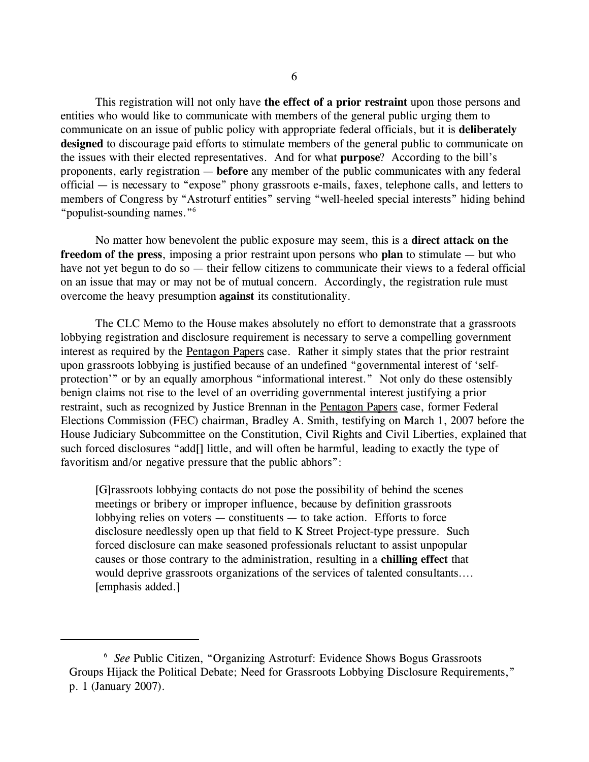This registration will not only have **the effect of a prior restraint** upon those persons and entities who would like to communicate with members of the general public urging them to communicate on an issue of public policy with appropriate federal officials, but it is **deliberately designed** to discourage paid efforts to stimulate members of the general public to communicate on the issues with their elected representatives. And for what **purpose**? According to the bill's proponents, early registration — **before** any member of the public communicates with any federal official — is necessary to "expose" phony grassroots e-mails, faxes, telephone calls, and letters to members of Congress by "Astroturf entities" serving "well-heeled special interests" hiding behind "populist-sounding names."<sup>6</sup>

No matter how benevolent the public exposure may seem, this is a **direct attack on the freedom of the press**, imposing a prior restraint upon persons who **plan** to stimulate — but who have not yet begun to do so — their fellow citizens to communicate their views to a federal official on an issue that may or may not be of mutual concern. Accordingly, the registration rule must overcome the heavy presumption **against** its constitutionality.

The CLC Memo to the House makes absolutely no effort to demonstrate that a grassroots lobbying registration and disclosure requirement is necessary to serve a compelling government interest as required by the Pentagon Papers case. Rather it simply states that the prior restraint upon grassroots lobbying is justified because of an undefined "governmental interest of 'selfprotection'" or by an equally amorphous "informational interest." Not only do these ostensibly benign claims not rise to the level of an overriding governmental interest justifying a prior restraint, such as recognized by Justice Brennan in the Pentagon Papers case, former Federal Elections Commission (FEC) chairman, Bradley A. Smith, testifying on March 1, 2007 before the House Judiciary Subcommittee on the Constitution, Civil Rights and Civil Liberties, explained that such forced disclosures "add[] little, and will often be harmful, leading to exactly the type of favoritism and/or negative pressure that the public abhors":

[G]rassroots lobbying contacts do not pose the possibility of behind the scenes meetings or bribery or improper influence, because by definition grassroots lobbying relies on voters — constituents — to take action. Efforts to force disclosure needlessly open up that field to K Street Project-type pressure. Such forced disclosure can make seasoned professionals reluctant to assist unpopular causes or those contrary to the administration, resulting in a **chilling effect** that would deprive grassroots organizations of the services of talented consultants.... [emphasis added.]

<sup>&</sup>lt;sup>6</sup> See Public Citizen, "Organizing Astroturf: Evidence Shows Bogus Grassroots Groups Hijack the Political Debate; Need for Grassroots Lobbying Disclosure Requirements," p. 1 (January 2007).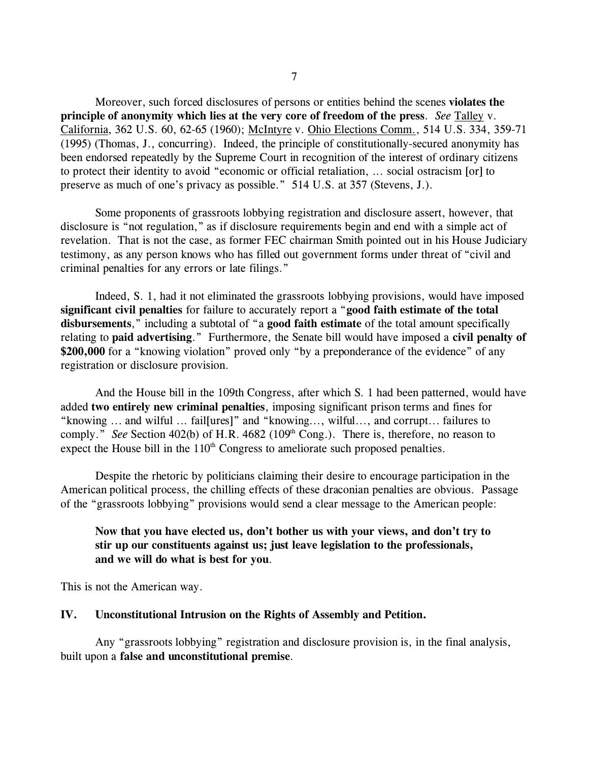Moreover, such forced disclosures of persons or entities behind the scenes **violates the principle of anonymity which lies at the very core of freedom of the press**. *See* Talley v. California, 362 U.S. 60, 62-65 (1960); McIntyre v. Ohio Elections Comm., 514 U.S. 334, 359-71 (1995) (Thomas, J., concurring). Indeed, the principle of constitutionally-secured anonymity has been endorsed repeatedly by the Supreme Court in recognition of the interest of ordinary citizens to protect their identity to avoid "economic or official retaliation, ... social ostracism [or] to preserve as much of one's privacy as possible." 514 U.S. at 357 (Stevens, J.).

Some proponents of grassroots lobbying registration and disclosure assert, however, that disclosure is "not regulation," as if disclosure requirements begin and end with a simple act of revelation. That is not the case, as former FEC chairman Smith pointed out in his House Judiciary testimony, as any person knows who has filled out government forms under threat of "civil and criminal penalties for any errors or late filings."

Indeed, S. 1, had it not eliminated the grassroots lobbying provisions, would have imposed **significant civil penalties** for failure to accurately report a "**good faith estimate of the total disbursements**," including a subtotal of "a **good faith estimate** of the total amount specifically relating to **paid advertising**." Furthermore, the Senate bill would have imposed a **civil penalty of** \$200,000 for a "knowing violation" proved only "by a preponderance of the evidence" of any registration or disclosure provision.

And the House bill in the 109th Congress, after which S. 1 had been patterned, would have added **two entirely new criminal penalties**, imposing significant prison terms and fines for "knowing ... and wilful ... fail[ures]" and "knowing..., wilful..., and corrupt... failures to comply." *See* Section 402(b) of H.R. 4682 (109<sup>th</sup> Cong.). There is, therefore, no reason to expect the House bill in the  $110<sup>th</sup>$  Congress to ameliorate such proposed penalties.

Despite the rhetoric by politicians claiming their desire to encourage participation in the American political process, the chilling effects of these draconian penalties are obvious. Passage of the "grassroots lobbying" provisions would send a clear message to the American people:

## **Now that you have elected us, don't bother us with your views, and don't try to stir up our constituents against us; just leave legislation to the professionals, and we will do what is best for you**.

This is not the American way.

#### **IV. Unconstitutional Intrusion on the Rights of Assembly and Petition.**

Any "grassroots lobbying" registration and disclosure provision is, in the final analysis, built upon a **false and unconstitutional premise**.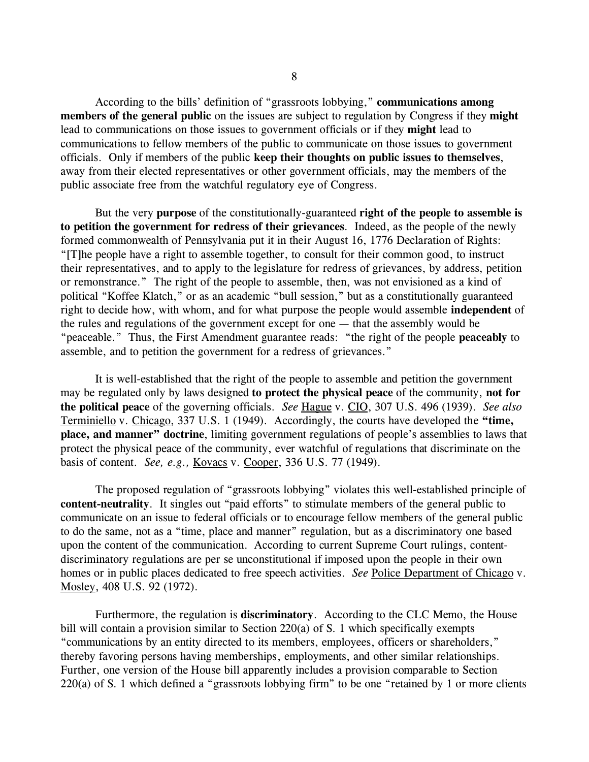According to the bills' definition of "grassroots lobbying," **communications among members of the general public** on the issues are subject to regulation by Congress if they **might** lead to communications on those issues to government officials or if they **might** lead to communications to fellow members of the public to communicate on those issues to government officials. Only if members of the public **keep their thoughts on public issues to themselves**, away from their elected representatives or other government officials, may the members of the public associate free from the watchful regulatory eye of Congress.

But the very **purpose** of the constitutionally-guaranteed **right of the people to assemble is to petition the government for redress of their grievances**. Indeed, as the people of the newly formed commonwealth of Pennsylvania put it in their August 16, 1776 Declaration of Rights: "[T]he people have a right to assemble together, to consult for their common good, to instruct their representatives, and to apply to the legislature for redress of grievances, by address, petition or remonstrance." The right of the people to assemble, then, was not envisioned as a kind of political "Koffee Klatch," or as an academic "bull session," but as a constitutionally guaranteed right to decide how, with whom, and for what purpose the people would assemble **independent** of the rules and regulations of the government except for one — that the assembly would be "peaceable." Thus, the First Amendment guarantee reads: "the right of the people **peaceably** to assemble, and to petition the government for a redress of grievances."

It is well-established that the right of the people to assemble and petition the government may be regulated only by laws designed **to protect the physical peace** of the community, **not for the political peace** of the governing officials. *See* Hague v. CIO, 307 U.S. 496 (1939). *See also* Terminiello v. Chicago, 337 U.S. 1 (1949). Accordingly, the courts have developed the **"time, place, and manner" doctrine**, limiting government regulations of people's assemblies to laws that protect the physical peace of the community, ever watchful of regulations that discriminate on the basis of content. *See, e.g.,* Kovacs v. Cooper, 336 U.S. 77 (1949).

The proposed regulation of "grassroots lobbying" violates this well-established principle of **content-neutrality**. It singles out "paid efforts" to stimulate members of the general public to communicate on an issue to federal officials or to encourage fellow members of the general public to do the same, not as a "time, place and manner" regulation, but as a discriminatory one based upon the content of the communication. According to current Supreme Court rulings, contentdiscriminatory regulations are per se unconstitutional if imposed upon the people in their own homes or in public places dedicated to free speech activities. *See* Police Department of Chicago v. Mosley, 408 U.S. 92 (1972).

Furthermore, the regulation is **discriminatory**. According to the CLC Memo, the House bill will contain a provision similar to Section 220(a) of S. 1 which specifically exempts "communications by an entity directed to its members, employees, officers or shareholders," thereby favoring persons having memberships, employments, and other similar relationships. Further, one version of the House bill apparently includes a provision comparable to Section 220(a) of S. 1 which defined a "grassroots lobbying firm" to be one "retained by 1 or more clients